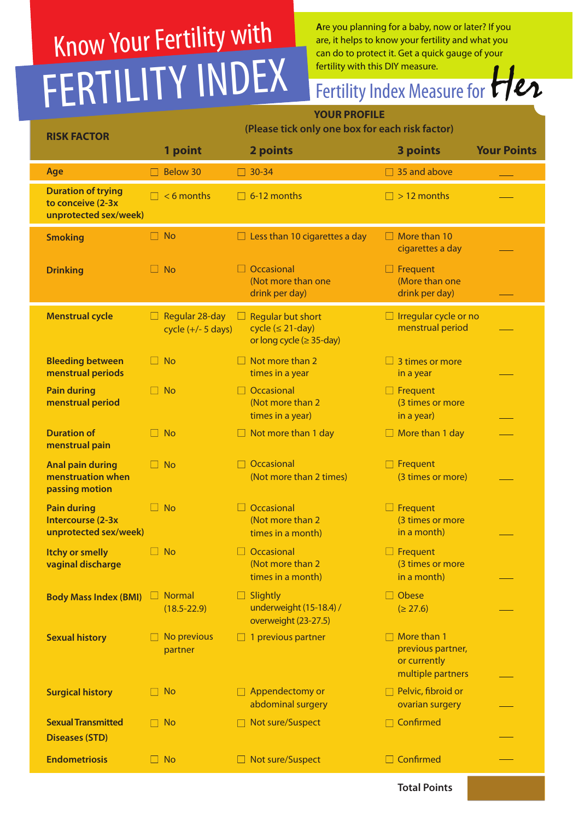# Know Your Fertility with FERTILITY INDEX

**A**re you planning for a baby, now or later? If you are, it helps to know your fertility and what you can do to protect it. Get a quick gauge of your

### **YOUR PROFILE** fertility with this DIY measure.<br>Fertility Index Measure for Her

| <b>RISK FACTOR</b>                                                      | (Please tick only one box for each risk factor) |                                                                                  |                                                                              |                    |  |
|-------------------------------------------------------------------------|-------------------------------------------------|----------------------------------------------------------------------------------|------------------------------------------------------------------------------|--------------------|--|
|                                                                         | 1 point                                         | 2 points                                                                         | <b>3 points</b>                                                              | <b>Your Points</b> |  |
| Age                                                                     | <b>Below 30</b>                                 | $\boxed{\phantom{0}}$ 30-34                                                      | $\Box$ 35 and above                                                          |                    |  |
| <b>Duration of trying</b><br>to conceive (2-3x<br>unprotected sex/week) | $\Box$ < 6 months                               | $\Box$ 6-12 months                                                               | $\Box$ > 12 months                                                           |                    |  |
| <b>Smoking</b>                                                          | $\Box$ No                                       | $\Box$ Less than 10 cigarettes a day                                             | $\Box$ More than 10<br>cigarettes a day                                      |                    |  |
| <b>Drinking</b>                                                         | $\Box$ No                                       | Occasional<br>(Not more than one<br>drink per day)                               | $\Box$ Frequent<br>(More than one<br>drink per day)                          |                    |  |
| <b>Menstrual cycle</b>                                                  | Regular 28-day<br>ப<br>cycle $(+/- 5$ days)     | <b>Regular but short</b><br>$cycle (≤ 21-day)$<br>or long cycle ( $\geq$ 35-day) | $\Box$ Irregular cycle or no<br>menstrual period                             |                    |  |
| <b>Bleeding between</b><br>menstrual periods                            | $\Box$ No                                       | Not more than 2<br>times in a year                                               | $\Box$ 3 times or more<br>in a year                                          |                    |  |
| <b>Pain during</b><br>menstrual period                                  | $\Box$ No                                       | $\Box$ Occasional<br>(Not more than 2)<br>times in a year)                       | $\Box$ Frequent<br>(3 times or more<br>in a year)                            |                    |  |
| <b>Duration of</b><br>menstrual pain                                    | $\Box$ No                                       | $\Box$ Not more than 1 day                                                       | $\Box$ More than 1 day                                                       |                    |  |
| <b>Anal pain during</b><br>menstruation when<br>passing motion          | $\Box$ No                                       | Occasional<br>(Not more than 2 times)                                            | Frequent<br>(3 times or more)                                                |                    |  |
| <b>Pain during</b><br>Intercourse (2-3x)<br>unprotected sex/week)       | $\Box$ No                                       | $\Box$ Occasional<br>(Not more than 2)<br>times in a month)                      | $\Box$ Frequent<br>(3 times or more<br>in a month)                           |                    |  |
| <b>Itchy or smelly</b><br>vaginal discharge                             | $\Box$ No                                       | $\Box$ Occasional<br>(Not more than 2)<br>times in a month)                      | $\Box$ Frequent<br>(3 times or more<br>in a month)                           |                    |  |
| Body Mass Index (BMI) Normal                                            | $(18.5 - 22.9)$                                 | $\Box$ Slightly<br>underweight (15-18.4) /<br>overweight (23-27.5)               | $\Box$ Obese<br>(≥ 27.6)                                                     |                    |  |
| <b>Sexual history</b>                                                   | No previous<br>partner                          | $\Box$ 1 previous partner                                                        | $\Box$ More than 1<br>previous partner,<br>or currently<br>multiple partners |                    |  |
| <b>Surgical history</b>                                                 | <b>No</b><br>H                                  | $\Box$ Appendectomy or<br>abdominal surgery                                      | $\Box$ Pelvic, fibroid or<br>ovarian surgery                                 |                    |  |
| <b>Sexual Transmitted</b><br><b>Diseases (STD)</b>                      | $\Box$ No                                       | □ Not sure/Suspect                                                               | Confirmed                                                                    |                    |  |
| <b>Endometriosis</b>                                                    | $\Box$ No                                       | □ Not sure/Suspect                                                               | $\Box$ Confirmed                                                             |                    |  |
|                                                                         |                                                 |                                                                                  | <b>Total Points</b>                                                          |                    |  |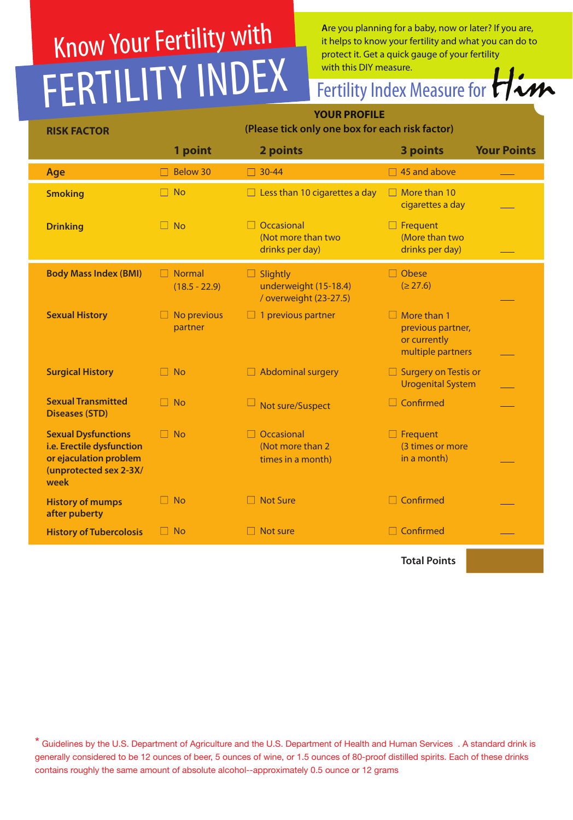### Know Your Fertility with FERTILITY INDEX

**A**re you planning for a baby, now or later? If you are, it helps to know your fertility and what you can do to protect it. Get a quick gauge of your fertility<br>with this DIY measure.

## with this DIY measure.<br>Fertility Index Measure for **Him**

| <b>RISK FACTOR</b>                                                                                                  | <b>YOUR PROFILE</b><br>(Please tick only one box for each risk factor) |                                                                    |                                                                              |
|---------------------------------------------------------------------------------------------------------------------|------------------------------------------------------------------------|--------------------------------------------------------------------|------------------------------------------------------------------------------|
|                                                                                                                     | 1 point                                                                | 2 points                                                           | <b>Your Points</b><br>3 points                                               |
| Age                                                                                                                 | Below 30                                                               | $\begin{array}{ c c }\n\hline\n30-44\n\end{array}$                 | $\Box$ 45 and above                                                          |
| <b>Smoking</b>                                                                                                      | $\Box$ No                                                              | $\Box$ Less than 10 cigarettes a day                               | $\Box$ More than 10<br>cigarettes a day                                      |
| <b>Drinking</b>                                                                                                     | $\Box$ No                                                              | $\Box$ Occasional<br>(Not more than two<br>drinks per day)         | $\Box$ Frequent<br>(More than two<br>drinks per day)                         |
| <b>Body Mass Index (BMI)</b>                                                                                        | Normal<br>$\Box$<br>$(18.5 - 22.9)$                                    | $\Box$ Slightly<br>underweight (15-18.4)<br>/ overweight (23-27.5) | $\Box$ Obese<br>(≥ 27.6)                                                     |
| <b>Sexual History</b>                                                                                               | No previous<br>partner                                                 | $\Box$ 1 previous partner                                          | $\Box$ More than 1<br>previous partner,<br>or currently<br>multiple partners |
| <b>Surgical History</b>                                                                                             | $\Box$ No                                                              | $\Box$ Abdominal surgery                                           | $\Box$ Surgery on Testis or<br><b>Urogenital System</b>                      |
| <b>Sexual Transmitted</b><br><b>Diseases (STD)</b>                                                                  | $\Box$ No                                                              | Not sure/Suspect                                                   | $\Box$ Confirmed                                                             |
| <b>Sexual Dysfunctions</b><br>i.e. Erectile dysfunction<br>or ejaculation problem<br>(unprotected sex 2-3X/<br>week | $\Box$ No                                                              | Occasional<br>(Not more than 2<br>times in a month)                | $\Box$ Frequent<br>(3 times or more<br>in a month)                           |
| <b>History of mumps</b><br>after puberty                                                                            | $\Box$ No                                                              | □ Not Sure                                                         | $\Box$ Confirmed                                                             |
| <b>History of Tubercolosis</b>                                                                                      | $\Box$ No                                                              | $\Box$ Not sure                                                    | $\Box$ Confirmed                                                             |
|                                                                                                                     |                                                                        |                                                                    | <b>Total Points</b>                                                          |

\* Guidelines by the U.S. Department of Agriculture and the U.S. Department of Health and Human Services . A standard drink is generally considered to be 12 ounces of beer, 5 ounces of wine, or 1.5 ounces of 80-proof distilled spirits. Each of these drinks contains roughly the same amount of absolute alcohol--approximately 0.5 ounce or 12 grams